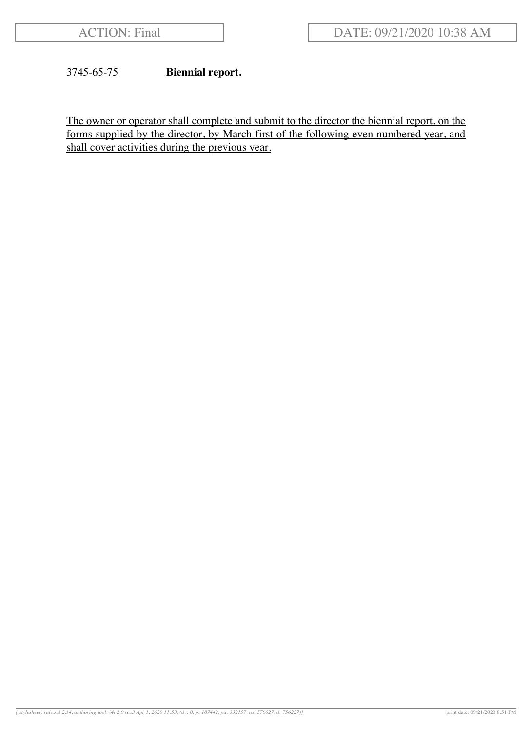### 3745-65-75 **Biennial report.**

The owner or operator shall complete and submit to the director the biennial report, on the forms supplied by the director, by March first of the following even numbered year, and shall cover activities during the previous year.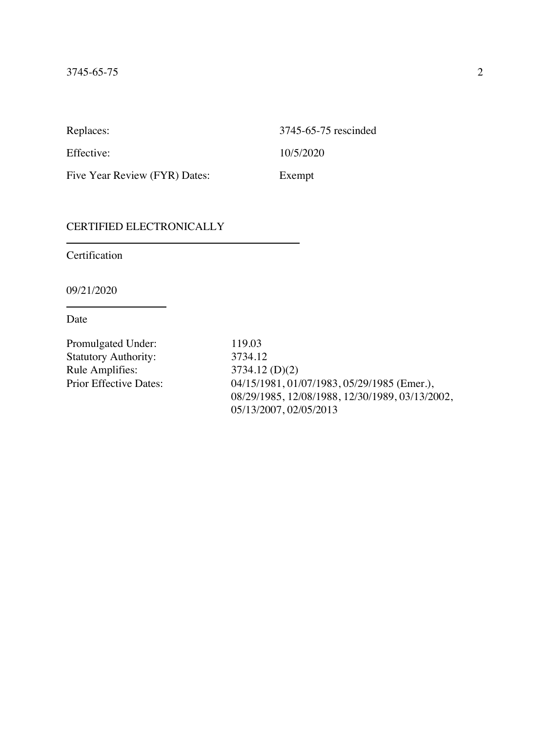Replaces: 3745-65-75 rescinded Effective: 10/5/2020 Five Year Review (FYR) Dates: Exempt

#### CERTIFIED ELECTRONICALLY

Certification

09/21/2020

Date

Promulgated Under: 119.03 Statutory Authority: 3734.12 Rule Amplifies: 3734.12 (D)(2)<br>Prior Effective Dates: 04/15/1981, 01/

04/15/1981, 01/07/1983, 05/29/1985 (Emer.), 08/29/1985, 12/08/1988, 12/30/1989, 03/13/2002, 05/13/2007, 02/05/2013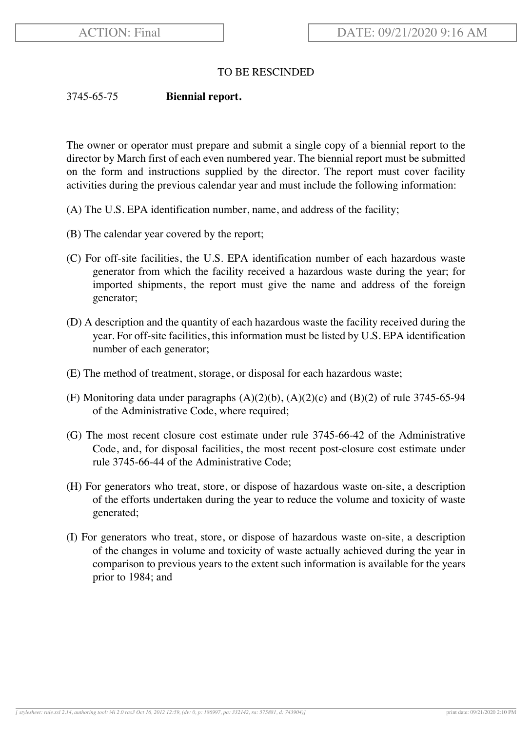## TO BE RESCINDED

### 3745-65-75 **Biennial report.**

The owner or operator must prepare and submit a single copy of a biennial report to the director by March first of each even numbered year. The biennial report must be submitted on the form and instructions supplied by the director. The report must cover facility activities during the previous calendar year and must include the following information:

- (A) The U.S. EPA identification number, name, and address of the facility;
- (B) The calendar year covered by the report;
- (C) For off-site facilities, the U.S. EPA identification number of each hazardous waste generator from which the facility received a hazardous waste during the year; for imported shipments, the report must give the name and address of the foreign generator;
- (D) A description and the quantity of each hazardous waste the facility received during the year. For off-site facilities, this information must be listed by U.S. EPA identification number of each generator;
- (E) The method of treatment, storage, or disposal for each hazardous waste;
- (F) Monitoring data under paragraphs  $(A)(2)(b)$ ,  $(A)(2)(c)$  and  $(B)(2)$  of rule 3745-65-94 of the Administrative Code, where required;
- (G) The most recent closure cost estimate under rule 3745-66-42 of the Administrative Code, and, for disposal facilities, the most recent post-closure cost estimate under rule 3745-66-44 of the Administrative Code;
- (H) For generators who treat, store, or dispose of hazardous waste on-site, a description of the efforts undertaken during the year to reduce the volume and toxicity of waste generated;
- (I) For generators who treat, store, or dispose of hazardous waste on-site, a description of the changes in volume and toxicity of waste actually achieved during the year in comparison to previous years to the extent such information is available for the years prior to 1984; and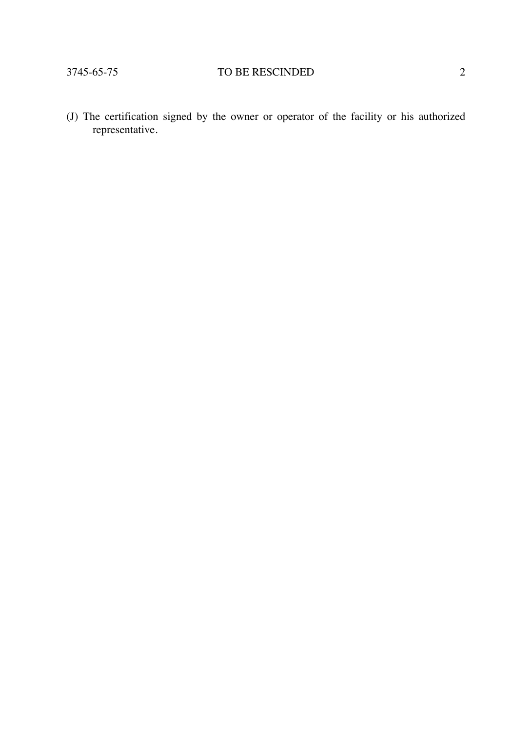# 3745-65-75 TO BE RESCINDED 2

(J) The certification signed by the owner or operator of the facility or his authorized representative.